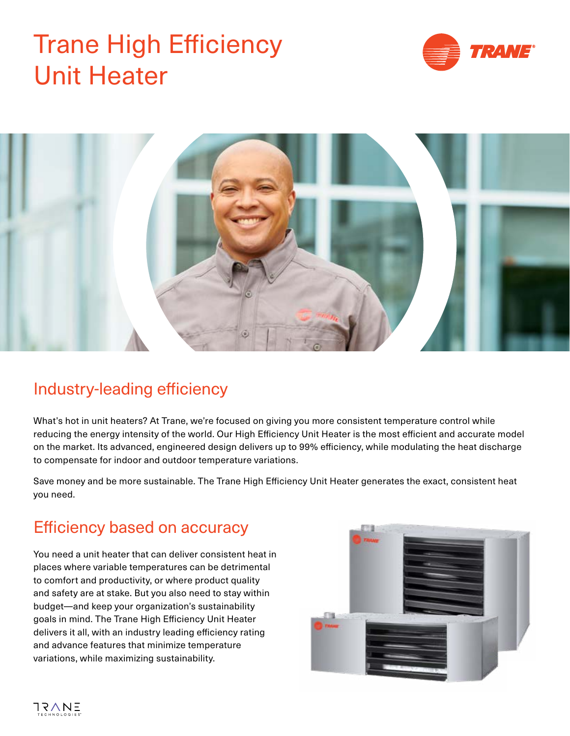# Trane High Efficiency Unit Heater





### Industry-leading efficiency

What's hot in unit heaters? At Trane, we're focused on giving you more consistent temperature control while reducing the energy intensity of the world. Our High Efficiency Unit Heater is the most efficient and accurate model on the market. Its advanced, engineered design delivers up to 99% efficiency, while modulating the heat discharge to compensate for indoor and outdoor temperature variations.

Save money and be more sustainable. The Trane High Efficiency Unit Heater generates the exact, consistent heat you need.

### Efficiency based on accuracy

You need a unit heater that can deliver consistent heat in places where variable temperatures can be detrimental to comfort and productivity, or where product quality and safety are at stake. But you also need to stay within budget—and keep your organization's sustainability goals in mind. The Trane High Efficiency Unit Heater delivers it all, with an industry leading efficiency rating and advance features that minimize temperature variations, while maximizing sustainability.